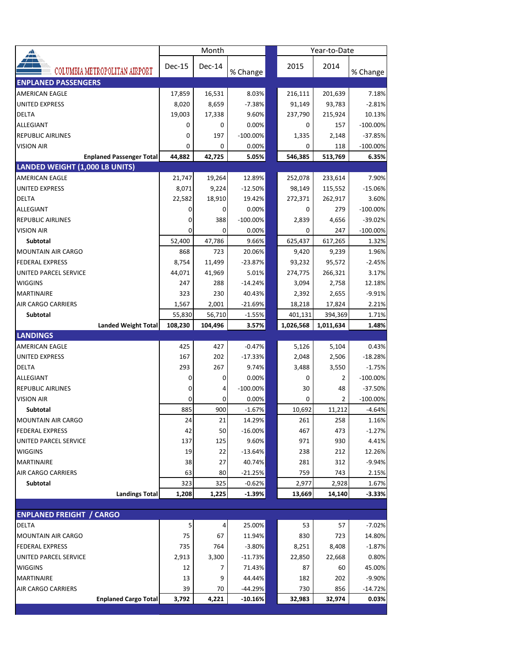| <mark>∡≞</mark>                  |          | Month    |                  | Year-to-Date |                |                       |  |  |
|----------------------------------|----------|----------|------------------|--------------|----------------|-----------------------|--|--|
| COLUMBIA METROPOLITAN AIRPORT    | $Dec-15$ | Dec-14   | % Change         | 2015         | 2014           | % Change              |  |  |
| <b>ENPLANED PASSENGERS</b>       |          |          |                  |              |                |                       |  |  |
| <b>AMERICAN EAGLE</b>            | 17,859   | 16,531   | 8.03%            | 216,111      | 201,639        | 7.18%                 |  |  |
| UNITED EXPRESS                   | 8,020    | 8,659    | $-7.38%$         | 91,149       | 93,783         | $-2.81%$              |  |  |
| DELTA                            | 19,003   | 17,338   | 9.60%            | 237,790      | 215,924        | 10.13%                |  |  |
| ALLEGIANT                        | 0        | 0        | 0.00%            | 0            | 157            | $-100.00\%$           |  |  |
| <b>REPUBLIC AIRLINES</b>         | 0        | 197      | $-100.00%$       | 1,335        | 2,148          | $-37.85%$             |  |  |
| <b>VISION AIR</b>                | 0        | 0        | 0.00%            | 0            | 118            | $-100.00\%$           |  |  |
| <b>Enplaned Passenger Total</b>  | 44,882   | 42,725   | 5.05%            | 546,385      | 513,769        | 6.35%                 |  |  |
| LANDED WEIGHT (1,000 LB UNITS)   |          |          |                  |              |                |                       |  |  |
| <b>AMERICAN EAGLE</b>            | 21,747   | 19,264   | 12.89%           | 252,078      | 233,614        | 7.90%                 |  |  |
| <b>UNITED EXPRESS</b>            | 8,071    | 9,224    | $-12.50%$        | 98,149       | 115,552        | $-15.06%$             |  |  |
| DELTA                            | 22,582   | 18,910   | 19.42%           | 272,371      | 262,917        | 3.60%                 |  |  |
| ALLEGIANT                        | 0        | 0        | 0.00%            | 0            | 279            | $-100.00\%$           |  |  |
| <b>REPUBLIC AIRLINES</b>         | 0        | 388      | $-100.00\%$      | 2,839        | 4,656          | $-39.02%$             |  |  |
| <b>VISION AIR</b>                | 0        | $\Omega$ | 0.00%            | 0            | 247            | $-100.00\%$           |  |  |
| <b>Subtotal</b>                  | 52,400   | 47,786   | 9.66%            | 625,437      | 617,265        | 1.32%                 |  |  |
| <b>MOUNTAIN AIR CARGO</b>        | 868      | 723      | 20.06%           | 9,420        | 9,239          | 1.96%                 |  |  |
| <b>FEDERAL EXPRESS</b>           | 8,754    | 11,499   | $-23.87%$        | 93,232       | 95,572         | $-2.45%$              |  |  |
| <b>UNITED PARCEL SERVICE</b>     | 44,071   | 41,969   | 5.01%            | 274,775      | 266,321        | 3.17%                 |  |  |
| <b>WIGGINS</b>                   | 247      | 288      | $-14.24%$        | 3,094        | 2,758          | 12.18%                |  |  |
| <b>MARTINAIRE</b>                | 323      | 230      | 40.43%           | 2,392        | 2,655          | $-9.91%$              |  |  |
| <b>AIR CARGO CARRIERS</b>        | 1,567    | 2,001    | $-21.69%$        | 18,218       | 17,824         | 2.21%                 |  |  |
| Subtotal                         | 55,830   | 56,710   | $-1.55%$         | 401,131      | 394,369        | 1.71%                 |  |  |
| <b>Landed Weight Total</b>       | 108,230  | 104,496  | 3.57%            | 1,026,568    | 1,011,634      | 1.48%                 |  |  |
| <b>LANDINGS</b>                  |          |          |                  |              |                |                       |  |  |
| <b>AMERICAN EAGLE</b>            | 425      | 427      | $-0.47%$         | 5,126        | 5,104          | 0.43%                 |  |  |
| <b>UNITED EXPRESS</b>            | 167      | 202      | $-17.33%$        | 2,048        | 2,506          | $-18.28%$             |  |  |
| <b>DELTA</b>                     | 293      | 267      | 9.74%            | 3,488        | 3,550          | $-1.75%$              |  |  |
| ALLEGIANT                        | 0        | 0        | 0.00%            | $\Omega$     | 2              | $-100.00%$            |  |  |
| <b>REPUBLIC AIRLINES</b>         | 0        | 4        | $-100.00\%$      | 30           | 48             | $-37.50%$             |  |  |
| <b>VISION AIR</b>                |          | 0        | 0.00%            | $\Omega$     | $\overline{2}$ | $-100.00\%$           |  |  |
| Subtotal                         | 885      | 900      | $-1.67%$         | 10,692       | 11,212         | $-4.64%$              |  |  |
| MOUNTAIN AIR CARGO               | 24       | 21       | 14.29%           | 261          | 258            | 1.16%                 |  |  |
| <b>FEDERAL EXPRESS</b>           | 42       | 50       | $-16.00%$        | 467          | 473            | $-1.27%$              |  |  |
| UNITED PARCEL SERVICE            | 137      | 125      | 9.60%            | 971          | 930            | 4.41%                 |  |  |
| <b>WIGGINS</b>                   | 19       | 22       | $-13.64%$        | 238          | 212            | 12.26%                |  |  |
| <b>MARTINAIRE</b>                | 38       | 27       | 40.74%           | 281          | 312            | $-9.94%$              |  |  |
| <b>AIR CARGO CARRIERS</b>        | 63       | 80       | $-21.25%$        | 759          | 743            | 2.15%                 |  |  |
| Subtotal                         | 323      | 325      | $-0.62%$         | 2,977        | 2,928          | 1.67%                 |  |  |
| <b>Landings Total</b>            | 1,208    | 1,225    | $-1.39%$         | 13,669       | 14,140         | $-3.33%$              |  |  |
|                                  |          |          |                  |              |                |                       |  |  |
| <b>ENPLANED FREIGHT / CARGO</b>  |          |          |                  |              |                |                       |  |  |
| DELTA                            | 5        | 4        | 25.00%           | 53           | 57             | $-7.02%$              |  |  |
| <b>MOUNTAIN AIR CARGO</b>        | 75       | 67       | 11.94%           | 830          | 723            | 14.80%                |  |  |
| <b>FEDERAL EXPRESS</b>           | 735      | 764      | $-3.80%$         | 8,251        | 8,408          | $-1.87%$              |  |  |
| UNITED PARCEL SERVICE            | 2,913    | 3,300    | $-11.73%$        | 22,850       | 22,668         | 0.80%                 |  |  |
| <b>WIGGINS</b>                   | 12       | 7        | 71.43%<br>44.44% | 87           | 60             | 45.00%                |  |  |
| MARTINAIRE<br>AIR CARGO CARRIERS | 13<br>39 | 9<br>70  | -44.29%          | 182<br>730   | 202<br>856     | $-9.90%$<br>$-14.72%$ |  |  |
| <b>Enplaned Cargo Total</b>      | 3,792    | 4,221    | $-10.16%$        | 32,983       | 32,974         | 0.03%                 |  |  |
|                                  |          |          |                  |              |                |                       |  |  |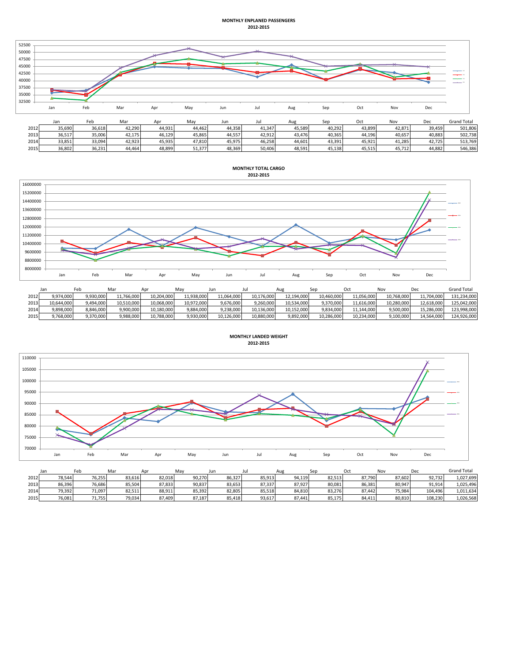## **MONTHLY ENPLANED PASSENGERS 2012-2015**



|      | $-$    | .      | $\cdots$ | .      |        | $-$    |        | .      | ---    | $\sim$ | $\cdots$ | $- - -$ | ----------- |
|------|--------|--------|----------|--------|--------|--------|--------|--------|--------|--------|----------|---------|-------------|
| 2012 | 35,690 | 36.618 | 42.290   | 44.931 | 44.462 | 44.358 | 41.347 | 45.589 | 40.292 | 43.899 | 42.871   | 39.459  | 501.806     |
| 2013 | 36.517 | 35.006 | 42.175   | 46.129 | 15.865 | 44.557 | 42.912 | 43.476 | 40.365 | 44.196 | 40.657   | 40.883  | 502.738     |
| 2014 | 33,851 | 33,094 | 42,923   | 45,935 | 47,810 | 45,975 | 46,258 | 44,601 | 43,391 | 45.921 | 41.285   | 42.725  | 513.769     |
| 2015 | 36,802 | 36,231 | 44,464   | 48,899 | 51,377 | 48,369 | 50,406 | 48,591 | 45,138 | 45,515 | 45,712   | 44.882  | 546,386     |

**MONTHLY TOTAL CARGO 2012-2015**



|      | Jan        | Feb       | Mar        | Apr        | May        | Jur        | Ju         | Aug        |            |            | Nov        | Dec        | <b>Grand Total</b> |
|------|------------|-----------|------------|------------|------------|------------|------------|------------|------------|------------|------------|------------|--------------------|
| 2012 | 9,974,000  | 9,930,000 | 11,766,000 | 10.204.000 | 11,938,000 | 11.064.000 | 10,176,000 | 12,194,000 | 10,460,000 | 11,056,000 | 10,768,000 | 11,704,000 | 131.234.000        |
| 2013 | 10.644.000 | 9.494.000 | 10,510,000 | 10.068.000 | 10.972.000 | 9.676.000  | 9.260.000  | 10.534.000 | 9.370.000  | 11.616.000 | 10.280.000 | 12.618.000 | 125.042.000        |
| 2014 | 9.898.000  | 8.846.000 | 9,900,000  | 10.180.000 | 9.884.000  | 9.238.000  | 10.136.000 | 10.152.000 | 9.834.000  | 11.144.000 | 9.500.000  | 15.286.000 | 123.998.000        |
| 2015 | 9,768,000  | 9,370,000 | 9,988,000  | 10,788,000 | 9,930,000  | 10,126,000 | 10,880,000 | 9,892,000  | 10,286,000 | 10,234,000 | 9,100,000  | 14,564,000 | 124,926,000        |



|      | Jan    | Feb    | Ma     | Apr    | Mav    | Jun    |        | nu,    | Sep    | Oct    | Nov    | De      | <b>Grand Total</b> |
|------|--------|--------|--------|--------|--------|--------|--------|--------|--------|--------|--------|---------|--------------------|
| 2012 | 78.544 | 76,255 | 83,616 | 82,018 | 90,270 | 86,327 | 85,913 | 94,119 | 82,513 | 87,790 | 87.602 | 92.732  | 1,027,699          |
| 2013 | 86.396 | 76.686 | 85.504 | 87,833 | 90,837 | 83,653 | 87.337 | 87,927 | 80.081 | 86,381 | 80.947 | 91.914  | 1,025,496          |
| 2014 | 79,392 | 71,097 | 82,511 | 88,911 | 85,392 | 82,805 | 85,518 | 84,810 | 83,276 | 87,442 | 75,984 | 104.496 | 1,011,634          |
| 2015 | 76,081 | 71,755 | 79,034 | 87,409 | 87,187 | 85.418 | 93,617 | 87,441 | 85,175 | 84.411 | 80.810 | 108.230 | 1,026,568          |

**MONTHLY LANDED WEIGHT 2012-2015**